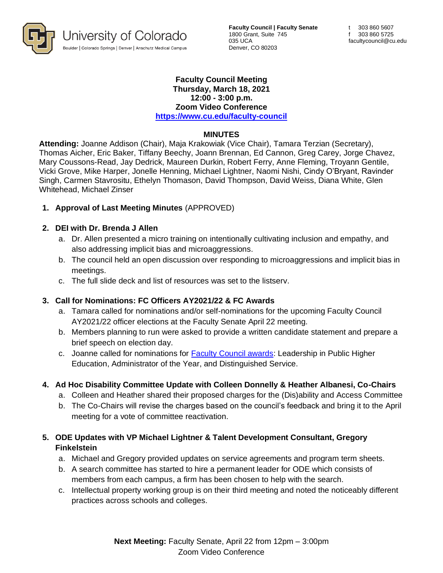

**Faculty Council | Faculty Senate** 1800 Grant, Suite 745 035 UCA Denver, CO 80203

### **Faculty Council Meeting Thursday, March 18, 2021 12:00 - 3:00 p.m. Zoom Video Conference <https://www.cu.edu/faculty-council>**

### **MINUTES**

**Attending:** Joanne Addison (Chair), Maja Krakowiak (Vice Chair), Tamara Terzian (Secretary), Thomas Aicher, Eric Baker, Tiffany Beechy, Joann Brennan, Ed Cannon, Greg Carey, Jorge Chavez, Mary Coussons-Read, Jay Dedrick, Maureen Durkin, Robert Ferry, Anne Fleming, Troyann Gentile, Vicki Grove, Mike Harper, Jonelle Henning, Michael Lightner, Naomi Nishi, Cindy O'Bryant, Ravinder Singh, Carmen Stavrositu, Ethelyn Thomason, David Thompson, David Weiss, Diana White, Glen Whitehead, Michael Zinser

# **1. Approval of Last Meeting Minutes** (APPROVED)

### **2. DEI with Dr. Brenda J Allen**

- a. Dr. Allen presented a micro training on intentionally cultivating inclusion and empathy, and also addressing implicit bias and microaggressions.
- b. The council held an open discussion over responding to microaggressions and implicit bias in meetings.
- c. The full slide deck and list of resources was set to the listserv.

# **3. Call for Nominations: FC Officers AY2021/22 & FC Awards**

- a. Tamara called for nominations and/or self-nominations for the upcoming Faculty Council AY2021/22 officer elections at the Faculty Senate April 22 meeting.
- b. Members planning to run were asked to provide a written candidate statement and prepare a brief speech on election day.
- c. Joanne called for nominations for [Faculty Council awards:](https://www.cu.edu/faculty-council/faculty-council-awards) Leadership in Public Higher Education, Administrator of the Year, and Distinguished Service.

# **4. Ad Hoc Disability Committee Update with Colleen Donnelly & Heather Albanesi, Co-Chairs**

- a. Colleen and Heather shared their proposed charges for the (Dis)ability and Access Committee
- b. The Co-Chairs will revise the charges based on the council's feedback and bring it to the April meeting for a vote of committee reactivation.

# **5. ODE Updates with VP Michael Lightner & Talent Development Consultant, Gregory Finkelstein**

- a. Michael and Gregory provided updates on service agreements and program term sheets.
- b. A search committee has started to hire a permanent leader for ODE which consists of members from each campus, a firm has been chosen to help with the search.
- c. Intellectual property working group is on their third meeting and noted the noticeably different practices across schools and colleges.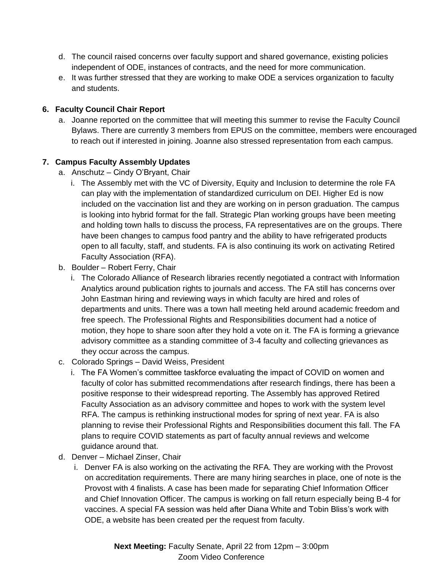- d. The council raised concerns over faculty support and shared governance, existing policies independent of ODE, instances of contracts, and the need for more communication.
- e. It was further stressed that they are working to make ODE a services organization to faculty and students.

## **6. Faculty Council Chair Report**

a. Joanne reported on the committee that will meeting this summer to revise the Faculty Council Bylaws. There are currently 3 members from EPUS on the committee, members were encouraged to reach out if interested in joining. Joanne also stressed representation from each campus.

### **7. Campus Faculty Assembly Updates**

- a. Anschutz Cindy O'Bryant, Chair
	- i. The Assembly met with the VC of Diversity, Equity and Inclusion to determine the role FA can play with the implementation of standardized curriculum on DEI. Higher Ed is now included on the vaccination list and they are working on in person graduation. The campus is looking into hybrid format for the fall. Strategic Plan working groups have been meeting and holding town halls to discuss the process, FA representatives are on the groups. There have been changes to campus food pantry and the ability to have refrigerated products open to all faculty, staff, and students. FA is also continuing its work on activating Retired Faculty Association (RFA).
- b. Boulder Robert Ferry, Chair
	- i. The Colorado Alliance of Research libraries recently negotiated a contract with Information Analytics around publication rights to journals and access. The FA still has concerns over John Eastman hiring and reviewing ways in which faculty are hired and roles of departments and units. There was a town hall meeting held around academic freedom and free speech. The Professional Rights and Responsibilities document had a notice of motion, they hope to share soon after they hold a vote on it. The FA is forming a grievance advisory committee as a standing committee of 3-4 faculty and collecting grievances as they occur across the campus.
- c. Colorado Springs David Weiss, President
	- i. The FA Women's committee taskforce evaluating the impact of COVID on women and faculty of color has submitted recommendations after research findings, there has been a positive response to their widespread reporting. The Assembly has approved Retired Faculty Association as an advisory committee and hopes to work with the system level RFA. The campus is rethinking instructional modes for spring of next year. FA is also planning to revise their Professional Rights and Responsibilities document this fall. The FA plans to require COVID statements as part of faculty annual reviews and welcome guidance around that.
- d. Denver Michael Zinser, Chair
	- i. Denver FA is also working on the activating the RFA. They are working with the Provost on accreditation requirements. There are many hiring searches in place, one of note is the Provost with 4 finalists. A case has been made for separating Chief Information Officer and Chief Innovation Officer. The campus is working on fall return especially being B-4 for vaccines. A special FA session was held after Diana White and Tobin Bliss's work with ODE, a website has been created per the request from faculty.